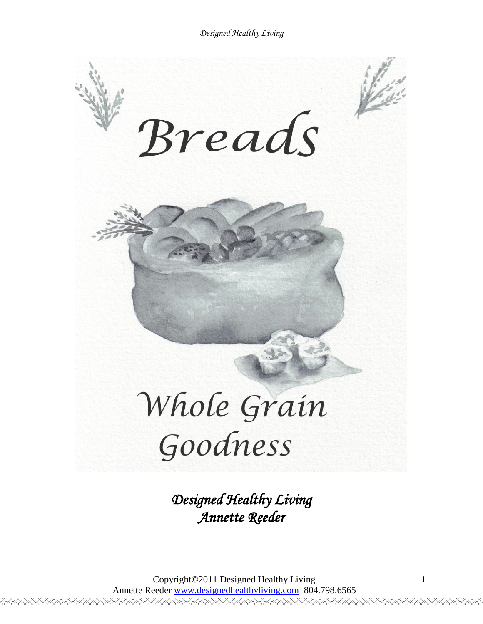

*Designed Healthy Living Annette Reeder* 

Copyright©2011 Designed Healthy Living Annette Reeder www.designedhealthyliving.com 804.798.6565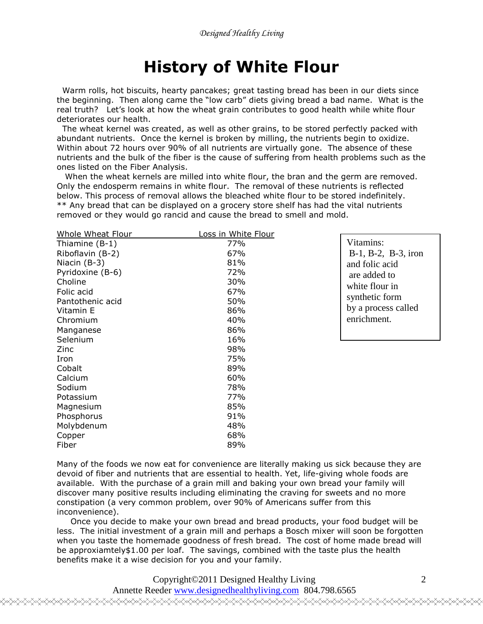# **History of White Flour**

 Warm rolls, hot biscuits, hearty pancakes; great tasting bread has been in our diets since the beginning. Then along came the "low carb" diets giving bread a bad name. What is the real truth? Let's look at how the wheat grain contributes to good health while white flour deteriorates our health.

 The wheat kernel was created, as well as other grains, to be stored perfectly packed with abundant nutrients. Once the kernel is broken by milling, the nutrients begin to oxidize. Within about 72 hours over 90% of all nutrients are virtually gone. The absence of these nutrients and the bulk of the fiber is the cause of suffering from health problems such as the ones listed on the Fiber Analysis.

 When the wheat kernels are milled into white flour, the bran and the germ are removed. Only the endosperm remains in white flour. The removal of these nutrients is reflected below. This process of removal allows the bleached white flour to be stored indefinitely. \*\* Any bread that can be displayed on a grocery store shelf has had the vital nutrients removed or they would go rancid and cause the bread to smell and mold.

| Whole Wheat Flour | Loss in White Flour |
|-------------------|---------------------|
| Thiamine (B-1)    | 77%                 |
| Riboflavin (B-2)  | 67%                 |
| Niacin (B-3)      | 81%                 |
| Pyridoxine (B-6)  | 72%                 |
| Choline           | 30%                 |
| Folic acid        | 67%                 |
| Pantothenic acid  | 50%                 |
| Vitamin E         | 86%                 |
| Chromium          | 40%                 |
| Manganese         | 86%                 |
| Selenium          | 16%                 |
| Zinc              | 98%                 |
| Iron              | 75%                 |
| Cobalt            | 89%                 |
| Calcium           | 60%                 |
| Sodium            | 78%                 |
| Potassium         | 77%                 |
| Magnesium         | 85%                 |
| Phosphorus        | 91%                 |
| Molybdenum        | 48%                 |
| Copper            | 68%                 |
| Fiber             | 89%                 |

Vitamins: B-1, B-2, B-3, iron and folic acid are added to white flour in synthetic form by a process called enrichment.

Many of the foods we now eat for convenience are literally making us sick because they are devoid of fiber and nutrients that are essential to health. Yet, life-giving whole foods are available. With the purchase of a grain mill and baking your own bread your family will discover many positive results including eliminating the craving for sweets and no more constipation (a very common problem, over 90% of Americans suffer from this inconvenience).

 Once you decide to make your own bread and bread products, your food budget will be less. The initial investment of a grain mill and perhaps a Bosch mixer will soon be forgotten when you taste the homemade goodness of fresh bread. The cost of home made bread will be approxiamtely\$1.00 per loaf. The savings, combined with the taste plus the health benefits make it a wise decision for you and your family.

Copyright©2011 Designed Healthy Living

Annette Reeder www.designedhealthyliving.com 804.798.6565 <sub></sub>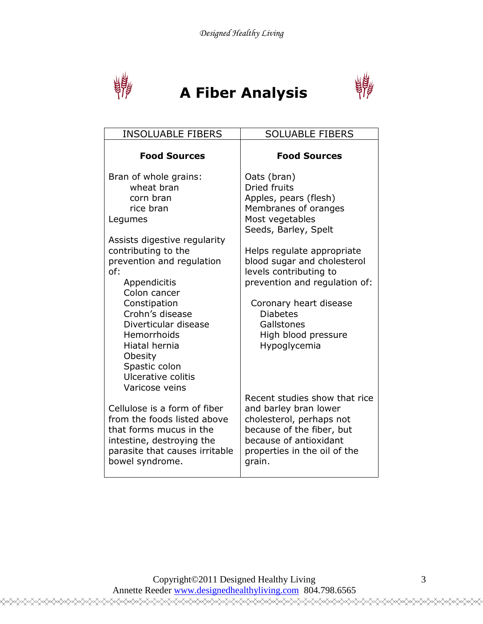

# **A Fiber Analysis**



| <b>INSOLUABLE FIBERS</b>                                                                                                                                                                            | <b>SOLUABLE FIBERS</b>                                                                                                                                                                                                                                 |
|-----------------------------------------------------------------------------------------------------------------------------------------------------------------------------------------------------|--------------------------------------------------------------------------------------------------------------------------------------------------------------------------------------------------------------------------------------------------------|
| <b>Food Sources</b>                                                                                                                                                                                 | <b>Food Sources</b>                                                                                                                                                                                                                                    |
| Bran of whole grains:<br>wheat bran<br>corn bran<br>rice bran<br>Legumes<br>Assists digestive regularity<br>contributing to the<br>prevention and regulation<br>of:<br>Appendicitis<br>Colon cancer | Oats (bran)<br><b>Dried fruits</b><br>Apples, pears (flesh)<br>Membranes of oranges<br>Most vegetables<br>Seeds, Barley, Spelt<br>Helps regulate appropriate<br>blood sugar and cholesterol<br>levels contributing to<br>prevention and regulation of: |
| Constipation<br>Crohn's disease<br>Diverticular disease<br>Hemorrhoids<br>Hiatal hernia<br>Obesity<br>Spastic colon<br>Ulcerative colitis<br>Varicose veins                                         | Coronary heart disease<br><b>Diabetes</b><br>Gallstones<br>High blood pressure<br>Hypoglycemia                                                                                                                                                         |
| Cellulose is a form of fiber<br>from the foods listed above<br>that forms mucus in the<br>intestine, destroying the<br>parasite that causes irritable<br>bowel syndrome.                            | Recent studies show that rice<br>and barley bran lower<br>cholesterol, perhaps not<br>because of the fiber, but<br>because of antioxidant<br>properties in the oil of the<br>grain.                                                                    |

╳╳╳╳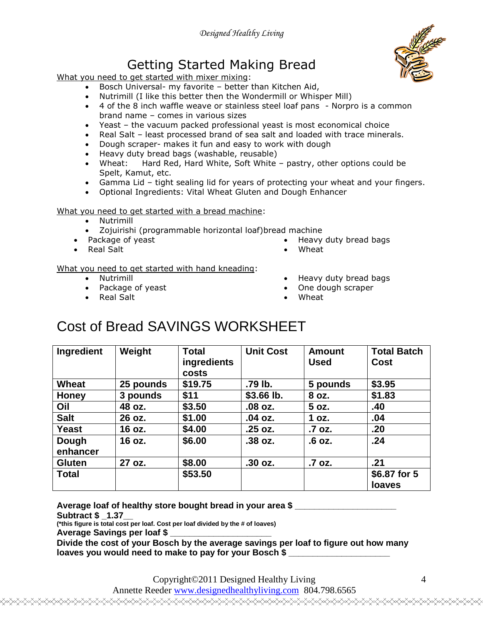## Getting Started Making Bread

What you need to get started with mixer mixing:

- Bosch Universal- my favorite better than Kitchen Aid,
- Nutrimill (I like this better then the Wondermill or Whisper Mill)
- 4 of the 8 inch waffle weave or stainless steel loaf pans Norpro is a common brand name – comes in various sizes
- Yeast the vacuum packed professional yeast is most economical choice
- Real Salt least processed brand of sea salt and loaded with trace minerals.
- Dough scraper- makes it fun and easy to work with dough
- Heavy duty bread bags (washable, reusable)
- Wheat: Hard Red, Hard White, Soft White pastry, other options could be Spelt, Kamut, etc.
- Gamma Lid tight sealing lid for years of protecting your wheat and your fingers.
- Optional Ingredients: Vital Wheat Gluten and Dough Enhancer

#### What you need to get started with a bread machine:

- Nutrimill
- Zojuirishi (programmable horizontal loaf)bread machine
- Package of yeast
- Real Salt

 Heavy duty bread bags Wheat

#### What you need to get started with hand kneading:

- Nutrimill
- Package of yeast
- Real Salt
- Heavy duty bread bags
- One dough scraper
- Wheat

## Cost of Bread SAVINGS WORKSHEET

| Ingredient        | Weight    | <b>Total</b><br>ingredients<br>costs | <b>Unit Cost</b> | <b>Amount</b><br><b>Used</b> | <b>Total Batch</b><br>Cost |
|-------------------|-----------|--------------------------------------|------------------|------------------------------|----------------------------|
| Wheat             | 25 pounds | \$19.75                              | .79 lb.          | 5 pounds                     | \$3.95                     |
| <b>Honey</b>      | 3 pounds  | \$11                                 | $$3.66$ lb.      | 8 oz.                        | \$1.83                     |
| Oil               | 48 oz.    | \$3.50                               | .08 oz.          | 5 oz.                        | .40                        |
| <b>Salt</b>       | 26 oz.    | \$1.00                               | .04 oz.          | 1 oz.                        | .04                        |
| Yeast             | 16 oz.    | \$4.00                               | .25 oz.          | .7 oz.                       | .20                        |
| Dough<br>enhancer | 16 oz.    | \$6.00                               | .38 oz.          | .6 oz.                       | .24                        |
| <b>Gluten</b>     | 27 oz.    | \$8.00                               | $.30$ oz.        | .7 oz.                       | .21                        |
| <b>Total</b>      |           | \$53.50                              |                  |                              | \$6.87 for 5               |
|                   |           |                                      |                  |                              | loaves                     |

**Average loaf of healthy store bought bread in your area \$ \_\_\_\_\_\_\_\_\_\_\_\_\_\_\_\_\_\_\_\_\_**

**Subtract \$ \_1.37\_\_**

**(\*this figure is total cost per loaf. Cost per loaf divided by the # of loaves)**

**Average Savings per loaf \$ \_\_\_\_\_\_\_\_\_\_\_\_\_\_\_\_\_\_\_\_\_**

**Divide the cost of your Bosch by the average savings per loaf to figure out how many**  loaves you would need to make to pay for your Bosch \$

Copyright©2011 Designed Healthy Living

Annette Reeder www.designedhealthyliving.com 804.798.6565 <del></del>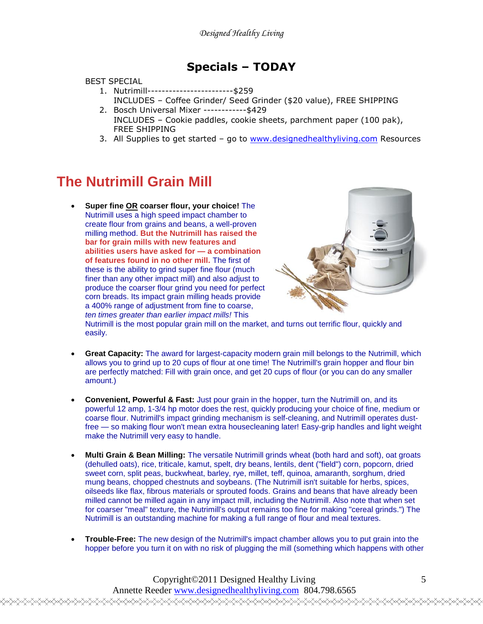### **Specials – TODAY**

#### BEST SPECIAL

- 1. Nutrimill------------------------\$259
	- INCLUDES Coffee Grinder/ Seed Grinder (\$20 value), FREE SHIPPING
- 2. Bosch Universal Mixer ------------\$429 INCLUDES – Cookie paddles, cookie sheets, parchment paper (100 pak), FREE SHIPPING
- 3. All Supplies to get started go to [www.designedhealthyliving.com](http://www.designedhealthyliving.com/) Resources

## **The Nutrimill Grain Mill**

 **Super fine OR coarser flour, your choice!** The Nutrimill uses a high speed impact chamber to create flour from grains and beans, a well-proven milling method. **But the Nutrimill has raised the bar for grain mills with new features and abilities users have asked for — a combination of features found in no other mill.** The first of these is the ability to grind super fine flour (much finer than any other impact mill) and also adjust to produce the coarser flour grind you need for perfect corn breads. Its impact grain milling heads provide a 400% range of adjustment from fine to coarse, *ten times greater than earlier impact mills!* This



Nutrimill is the most popular grain mill on the market, and turns out terrific flour, quickly and easily.

- **Great Capacity:** The award for largest-capacity modern grain mill belongs to the Nutrimill, which allows you to grind up to 20 cups of flour at one time! The Nutrimill's grain hopper and flour bin are perfectly matched: Fill with grain once, and get 20 cups of flour (or you can do any smaller amount.)
- **Convenient, Powerful & Fast:** Just pour grain in the hopper, turn the Nutrimill on, and its powerful 12 amp, 1-3/4 hp motor does the rest, quickly producing your choice of fine, medium or coarse flour. Nutrimill's impact grinding mechanism is self-cleaning, and Nutrimill operates dustfree — so making flour won't mean extra housecleaning later! Easy-grip handles and light weight make the Nutrimill very easy to handle.
- **Multi Grain & Bean Milling:** The versatile Nutrimill grinds wheat (both hard and soft), oat groats (dehulled oats), rice, triticale, kamut, spelt, dry beans, lentils, dent ("field") corn, popcorn, dried sweet corn, split peas, buckwheat, barley, rye, millet, teff, quinoa, amaranth, sorghum, dried mung beans, chopped chestnuts and soybeans. (The Nutrimill isn't suitable for herbs, spices, oilseeds like flax, fibrous materials or sprouted foods. Grains and beans that have already been milled cannot be milled again in any impact mill, including the Nutrimill. Also note that when set for coarser "meal" texture, the Nutrimill's output remains too fine for making "cereal grinds.") The Nutrimill is an outstanding machine for making a full range of flour and meal textures.
- **Trouble-Free:** The new design of the Nutrimill's impact chamber allows you to put grain into the hopper before you turn it on with no risk of plugging the mill (something which happens with other

Copyright©2011 Designed Healthy Living Annette Reeder www.designedhealthyliving.com 804.798.6565 <del></del>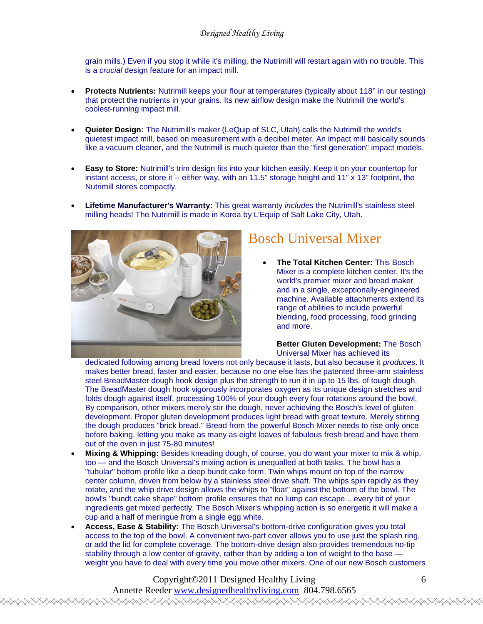grain mills.) Even if you stop it while it's milling, the Nutrimill will restart again with no trouble. This is a *crucial* design feature for an impact mill.

- **Protects Nutrients:** Nutrimill keeps your flour at temperatures (typically about 118° in our testing) that protect the nutrients in your grains. Its new airflow design make the Nutrimill the world's coolest-running impact mill.
- **Quieter Design:** The Nutrimill's maker (LeQuip of SLC, Utah) calls the Nutrimill the world's quietest impact mill, based on measurement with a decibel meter. An impact mill basically sounds like a vacuum cleaner, and the Nutrimill is much quieter than the "first generation" impact models.
- **Easy to Store:** Nutrimill's trim design fits into your kitchen easily. Keep it on your countertop for instant access, or store it -- either way, with an 11.5" storage height and 11" x 13" footprint, the Nutrimill stores compactly.
- **Lifetime Manufacturer's Warranty:** This great warranty *includes* the Nutrimill's stainless steel milling heads! The Nutrimill is made in Korea by L'Equip of Salt Lake City, Utah.



## Bosch Universal Mixer

 **The Total Kitchen Center:** This Bosch Mixer is a complete kitchen center. It's the world's premier mixer and bread maker and in a single, exceptionally-engineered machine. Available attachments extend its range of abilities to include powerful blending, food processing, food grinding and more.

**Better Gluten Development:** The Bosch Universal Mixer has achieved its

dedicated following among bread lovers not only because it lasts, but also because it *produces*. It makes better bread, faster and easier, because no one else has the patented three-arm stainless steel BreadMaster dough hook design plus the strength to run it in up to 15 lbs. of tough dough. The BreadMaster dough hook vigorously incorporates oxygen as its unique design stretches and folds dough against itself, processing 100% of your dough every four rotations around the bowl. By comparison, other mixers merely stir the dough, never achieving the Bosch's level of gluten development. Proper gluten development produces light bread with great texture. Merely stirring the dough produces "brick bread." Bread from the powerful Bosch Mixer needs to rise only once before baking, letting you make as many as eight loaves of fabulous fresh bread and have them out of the oven in just 75-80 minutes!

- **Mixing & Whipping:** Besides kneading dough, of course, you do want your mixer to mix & whip, too — and the Bosch Universal's mixing action is unequalled at both tasks. The bowl has a "tubular" bottom profile like a deep bundt cake form. Twin whips mount on top of the narrow center column, driven from below by a stainless steel drive shaft. The whips spin rapidly as they rotate, and the whip drive design allows the whips to "float" against the bottom of the bowl. The bowl's "bundt cake shape" bottom profile ensures that no lump can escape... every bit of your ingredients get mixed perfectly. The Bosch Mixer's whipping action is so energetic it will make a cup and a half of meringue from a single egg white.
- **Access, Ease & Stability:** The Bosch Universal's bottom-drive configuration gives you total access to the top of the bowl. A convenient two-part cover allows you to use just the splash ring, or add the lid for complete coverage. The bottom-drive design also provides tremendous no-tip stability through a low center of gravity, rather than by adding a ton of weight to the base weight you have to deal with every time you move other mixers. One of our new Bosch customers

Copyright©2011 Designed Healthy Living Annette Reeder www.designedhealthyliving.com 804.798.6565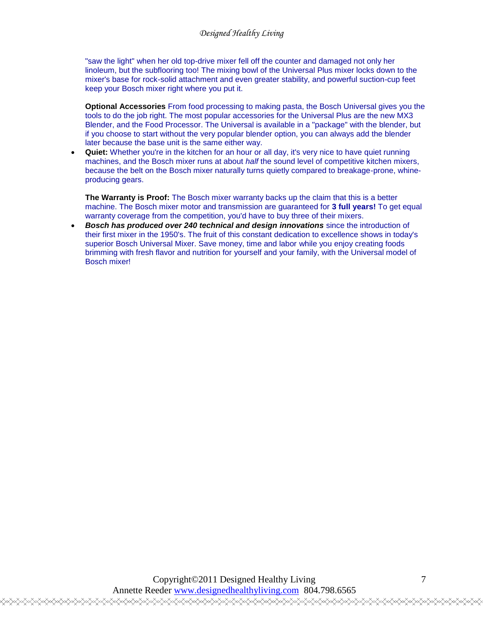"saw the light" when her old top-drive mixer fell off the counter and damaged not only her linoleum, but the subflooring too! The mixing bowl of the Universal Plus mixer locks down to the mixer's base for rock-solid attachment and even greater stability, and powerful suction-cup feet keep your Bosch mixer right where you put it.

**Optional Accessories** From food processing to making pasta, the Bosch Universal gives you the tools to do the job right. The most popular accessories for the Universal Plus are the new MX3 Blender, and the Food Processor. The Universal is available in a "package" with the blender, but if you choose to start without the very popular blender option, you can always add the blender later because the base unit is the same either way.

 **Quiet:** Whether you're in the kitchen for an hour or all day, it's very nice to have quiet running machines, and the Bosch mixer runs at about *half* the sound level of competitive kitchen mixers, because the belt on the Bosch mixer naturally turns quietly compared to breakage-prone, whineproducing gears.

**The Warranty is Proof:** The Bosch mixer warranty backs up the claim that this is a better machine. The Bosch mixer motor and transmission are guaranteed for **3 full years!** To get equal warranty coverage from the competition, you'd have to buy three of their mixers.

 *Bosch has produced over 240 technical and design innovations* since the introduction of their first mixer in the 1950's. The fruit of this constant dedication to excellence shows in today's superior Bosch Universal Mixer. Save money, time and labor while you enjoy creating foods brimming with fresh flavor and nutrition for yourself and your family, with the Universal model of Bosch mixer!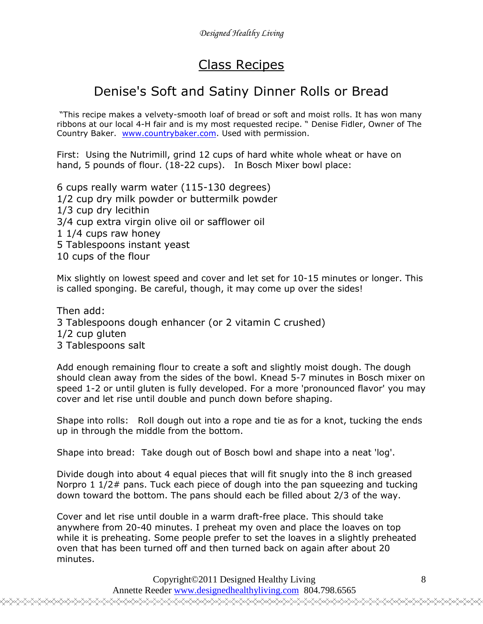## Class Recipes

## Denise's Soft and Satiny Dinner Rolls or Bread

"This recipe makes a velvety-smooth loaf of bread or soft and moist rolls. It has won many ribbons at our local 4-H fair and is my most requested recipe. " Denise Fidler, Owner of The Country Baker. [www.countrybaker.com.](http://www.countrybaker.com/) Used with permission.

First: Using the Nutrimill, grind 12 cups of hard white whole wheat or have on hand, 5 pounds of flour. (18-22 cups). In Bosch Mixer bowl place:

6 cups really warm water (115-130 degrees) 1/2 cup dry milk powder or buttermilk powder 1/3 cup dry lecithin 3/4 cup extra virgin olive oil or safflower oil 1 1/4 cups raw honey 5 Tablespoons instant yeast 10 cups of the flour

Mix slightly on lowest speed and cover and let set for 10-15 minutes or longer. This is called sponging. Be careful, though, it may come up over the sides!

Then add: 3 Tablespoons dough enhancer (or 2 vitamin C crushed) 1/2 cup gluten 3 Tablespoons salt

Add enough remaining flour to create a soft and slightly moist dough. The dough should clean away from the sides of the bowl. Knead 5-7 minutes in Bosch mixer on speed 1-2 or until gluten is fully developed. For a more 'pronounced flavor' you may cover and let rise until double and punch down before shaping.

Shape into rolls: Roll dough out into a rope and tie as for a knot, tucking the ends up in through the middle from the bottom.

Shape into bread: Take dough out of Bosch bowl and shape into a neat 'log'.

Divide dough into about 4 equal pieces that will fit snugly into the 8 inch greased Norpro 1 1/2# pans. Tuck each piece of dough into the pan squeezing and tucking down toward the bottom. The pans should each be filled about 2/3 of the way.

Cover and let rise until double in a warm draft-free place. This should take anywhere from 20-40 minutes. I preheat my oven and place the loaves on top while it is preheating. Some people prefer to set the loaves in a slightly preheated oven that has been turned off and then turned back on again after about 20 minutes.

> Copyright©2011 Designed Healthy Living Annette Reeder www.designedhealthyliving.com 804.798.6565

<sub></sub>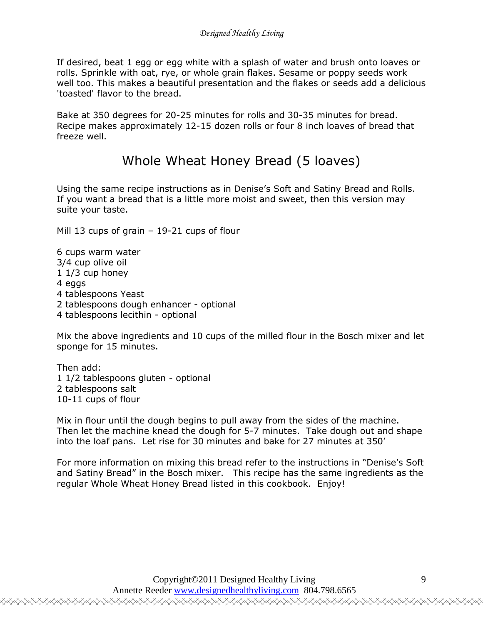If desired, beat 1 egg or egg white with a splash of water and brush onto loaves or rolls. Sprinkle with oat, rye, or whole grain flakes. Sesame or poppy seeds work well too. This makes a beautiful presentation and the flakes or seeds add a delicious 'toasted' flavor to the bread.

Bake at 350 degrees for 20-25 minutes for rolls and 30-35 minutes for bread. Recipe makes approximately 12-15 dozen rolls or four 8 inch loaves of bread that freeze well.

## Whole Wheat Honey Bread (5 loaves)

Using the same recipe instructions as in Denise's Soft and Satiny Bread and Rolls. If you want a bread that is a little more moist and sweet, then this version may suite your taste.

Mill 13 cups of grain – 19-21 cups of flour

6 cups warm water 3/4 cup olive oil 1 1/3 cup honey 4 eggs 4 tablespoons Yeast 2 tablespoons dough enhancer - optional 4 tablespoons lecithin - optional

Mix the above ingredients and 10 cups of the milled flour in the Bosch mixer and let sponge for 15 minutes.

Then add: 1 1/2 tablespoons gluten - optional 2 tablespoons salt 10-11 cups of flour

Mix in flour until the dough begins to pull away from the sides of the machine. Then let the machine knead the dough for 5-7 minutes. Take dough out and shape into the loaf pans. Let rise for 30 minutes and bake for 27 minutes at 350'

For more information on mixing this bread refer to the instructions in "Denise's Soft and Satiny Bread" in the Bosch mixer. This recipe has the same ingredients as the regular Whole Wheat Honey Bread listed in this cookbook. Enjoy!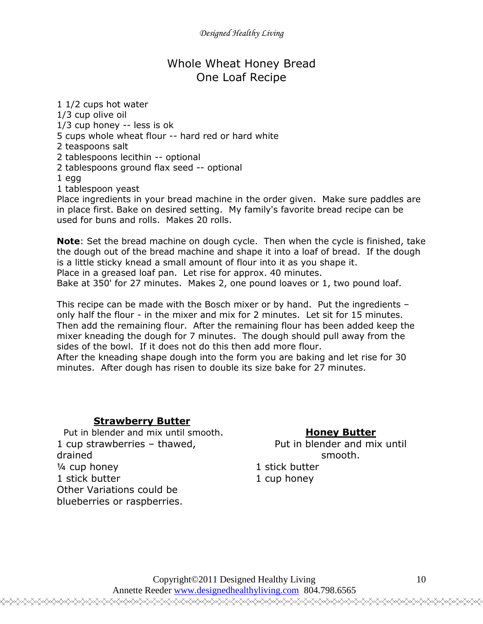### Whole Wheat Honey Bread One Loaf Recipe

1 1/2 cups hot water 1/3 cup olive oil 1/3 cup honey -- less is ok 5 cups whole wheat flour -- hard red or hard white 2 teaspoons salt 2 tablespoons lecithin -- optional 2 tablespoons ground flax seed -- optional 1 egg 1 tablespoon yeast

Place ingredients in your bread machine in the order given. Make sure paddles are in place first. Bake on desired setting. My family's favorite bread recipe can be used for buns and rolls. Makes 20 rolls.

**Note**: Set the bread machine on dough cycle. Then when the cycle is finished, take the dough out of the bread machine and shape it into a loaf of bread. If the dough is a little sticky knead a small amount of flour into it as you shape it. Place in a greased loaf pan. Let rise for approx. 40 minutes. Bake at 350' for 27 minutes. Makes 2, one pound loaves or 1, two pound loaf.

This recipe can be made with the Bosch mixer or by hand. Put the ingredients – only half the flour - in the mixer and mix for 2 minutes. Let sit for 15 minutes. Then add the remaining flour. After the remaining flour has been added keep the mixer kneading the dough for 7 minutes. The dough should pull away from the sides of the bowl. If it does not do this then add more flour.

After the kneading shape dough into the form you are baking and let rise for 30 minutes. After dough has risen to double its size bake for 27 minutes.

#### **Strawberry Butter**

Put in blender and mix until smooth. 1 cup strawberries – thawed, drained ¼ cup honey 1 stick butter Other Variations could be blueberries or raspberries.

### **Honey Butter**

Put in blender and mix until smooth.

1 stick butter 1 cup honey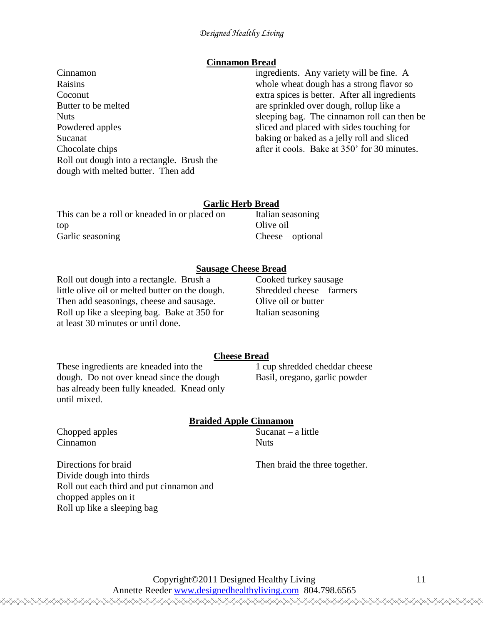#### **Cinnamon Bread**

Cinnamon Raisins Coconut Butter to be melted **Nuts** Powdered apples Sucanat Chocolate chips Roll out dough into a rectangle. Brush the dough with melted butter. Then add

ingredients. Any variety will be fine. A whole wheat dough has a strong flavor so extra spices is better. After all ingredients are sprinkled over dough, rollup like a sleeping bag. The cinnamon roll can then be sliced and placed with sides touching for baking or baked as a jelly roll and sliced after it cools. Bake at 350' for 30 minutes.

#### **Garlic Herb Bread**

| This can be a roll or kneaded in or placed on | Italian seasoning               |
|-----------------------------------------------|---------------------------------|
| top                                           | Olive oil                       |
| Garlic seasoning                              | $\text{Cheese}-\text{optional}$ |

#### **Sausage Cheese Bread**

Roll out dough into a rectangle. Brush a little olive oil or melted butter on the dough. Then add seasonings, cheese and sausage. Roll up like a sleeping bag. Bake at 350 for at least 30 minutes or until done.

Cooked turkey sausage Shredded cheese – farmers Olive oil or butter Italian seasoning

#### **Cheese Bread**

These ingredients are kneaded into the dough. Do not over knead since the dough has already been fully kneaded. Knead only until mixed.

Roll out each third and put cinnamon and

chopped apples on it Roll up like a sleeping bag

#### 1 cup shredded cheddar cheese Basil, oregano, garlic powder

|                          | <b>Braided Apple Cinnamon</b>  |
|--------------------------|--------------------------------|
| Chopped apples           | Sucanat $-$ a little           |
| Cinnamon                 | <b>Nuts</b>                    |
| Directions for braid     | Then braid the three together. |
| Divide dough into thirds |                                |

#### Copyright©2011 Designed Healthy Living Annette Reeder www.designedhealthyliving.com 804.798.6565

<del></del>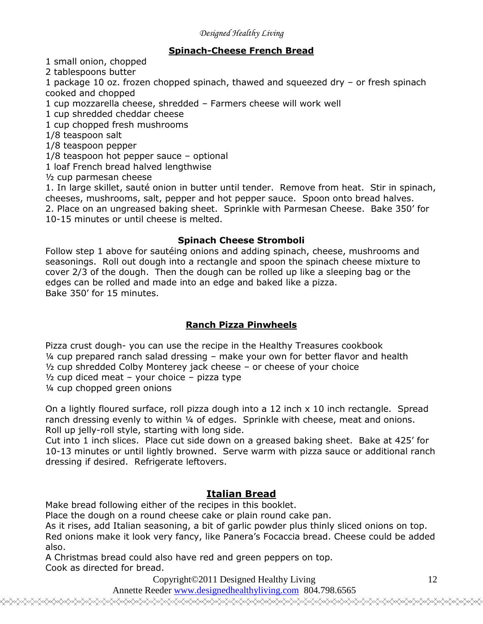#### **Spinach-Cheese French Bread**

1 small onion, chopped

2 tablespoons butter

1 package 10 oz. frozen chopped spinach, thawed and squeezed dry – or fresh spinach cooked and chopped

1 cup mozzarella cheese, shredded – Farmers cheese will work well

1 cup shredded cheddar cheese

1 cup chopped fresh mushrooms

1/8 teaspoon salt

1/8 teaspoon pepper

1/8 teaspoon hot pepper sauce – optional

1 loaf French bread halved lengthwise

½ cup parmesan cheese

1. In large skillet, sauté onion in butter until tender. Remove from heat. Stir in spinach, cheeses, mushrooms, salt, pepper and hot pepper sauce. Spoon onto bread halves. 2. Place on an ungreased baking sheet. Sprinkle with Parmesan Cheese. Bake 350' for 10-15 minutes or until cheese is melted.

#### **Spinach Cheese Stromboli**

Follow step 1 above for sautéing onions and adding spinach, cheese, mushrooms and seasonings. Roll out dough into a rectangle and spoon the spinach cheese mixture to cover 2/3 of the dough. Then the dough can be rolled up like a sleeping bag or the edges can be rolled and made into an edge and baked like a pizza. Bake 350' for 15 minutes.

#### **Ranch Pizza Pinwheels**

Pizza crust dough- you can use the recipe in the Healthy Treasures cookbook ¼ cup prepared ranch salad dressing – make your own for better flavor and health ½ cup shredded Colby Monterey jack cheese – or cheese of your choice  $\frac{1}{2}$  cup diced meat – your choice – pizza type ¼ cup chopped green onions

On a lightly floured surface, roll pizza dough into a 12 inch x 10 inch rectangle. Spread ranch dressing evenly to within 1/4 of edges. Sprinkle with cheese, meat and onions. Roll up jelly-roll style, starting with long side.

Cut into 1 inch slices. Place cut side down on a greased baking sheet. Bake at 425' for 10-13 minutes or until lightly browned. Serve warm with pizza sauce or additional ranch dressing if desired. Refrigerate leftovers.

#### **Italian Bread**

Make bread following either of the recipes in this booklet.

Place the dough on a round cheese cake or plain round cake pan.

As it rises, add Italian seasoning, a bit of garlic powder plus thinly sliced onions on top.

Red onions make it look very fancy, like Panera's Focaccia bread. Cheese could be added also.

A Christmas bread could also have red and green peppers on top. Cook as directed for bread.

Copyright©2011 Designed Healthy Living

Annette Reeder www.designedhealthyliving.com 804.798.6565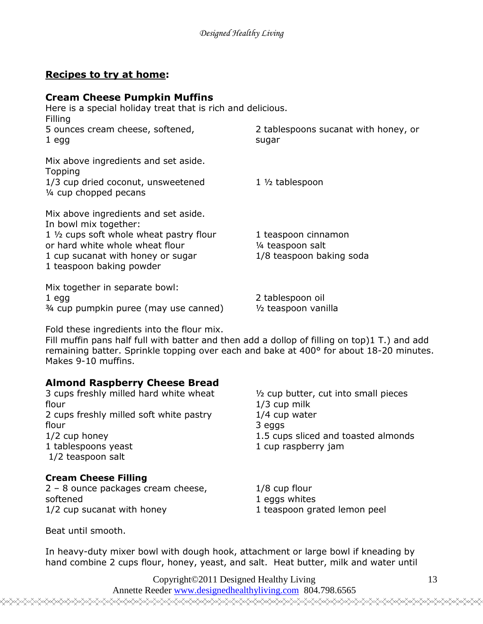### **Recipes to try at home:**

#### **Cream Cheese Pumpkin Muffins**

| Here is a special holiday treat that is rich and delicious.<br>Filling                                                                                                                                        |                                                                      |
|---------------------------------------------------------------------------------------------------------------------------------------------------------------------------------------------------------------|----------------------------------------------------------------------|
| 5 ounces cream cheese, softened,<br>1 <sub>egg</sub>                                                                                                                                                          | 2 tablespoons sucanat with honey, or<br>sugar                        |
| Mix above ingredients and set aside.<br>Topping<br>1/3 cup dried coconut, unsweetened<br>1/4 cup chopped pecans                                                                                               | $1 \frac{1}{2}$ tablespoon                                           |
| Mix above ingredients and set aside.<br>In bowl mix together:<br>1 1/2 cups soft whole wheat pastry flour<br>or hard white whole wheat flour<br>1 cup sucanat with honey or sugar<br>1 teaspoon baking powder | 1 teaspoon cinnamon<br>1/4 teaspoon salt<br>1/8 teaspoon baking soda |
| Mix together in separate bowl:<br>1 <sub>egg</sub><br>3/4 cup pumpkin puree (may use canned)                                                                                                                  | 2 tablespoon oil<br>1/2 teaspoon vanilla                             |

Fold these ingredients into the flour mix.

Fill muffin pans half full with batter and then add a dollop of filling on top)1 T.) and add remaining batter. Sprinkle topping over each and bake at 400° for about 18-20 minutes. Makes 9-10 muffins.

#### **Almond Raspberry Cheese Bread**

| 3 cups freshly milled hard white wheat  | $\frac{1}{2}$ cup butter, cut into small pieces |
|-----------------------------------------|-------------------------------------------------|
| flour                                   | $1/3$ cup milk                                  |
| 2 cups freshly milled soft white pastry | $1/4$ cup water                                 |
| flour                                   | 3 eggs                                          |
| $1/2$ cup honey                         | 1.5 cups sliced and toasted almonds             |
| 1 tablespoons yeast                     | 1 cup raspberry jam                             |
| 1/2 teaspoon salt                       |                                                 |
| <b>Cream Cheese Filling</b>             |                                                 |
| 2 - 8 ounce packages cream cheese,      | $1/8$ cup flour                                 |
| softened                                | 1 eggs whites                                   |

1/2 cup sucanat with honey Beat until smooth.

1 eggs whites 1 teaspoon grated lemon peel

In heavy-duty mixer bowl with dough hook, attachment or large bowl if kneading by hand combine 2 cups flour, honey, yeast, and salt. Heat butter, milk and water until

> Copyright©2011 Designed Healthy Living Annette Reeder www.designedhealthyliving.com 804.798.6565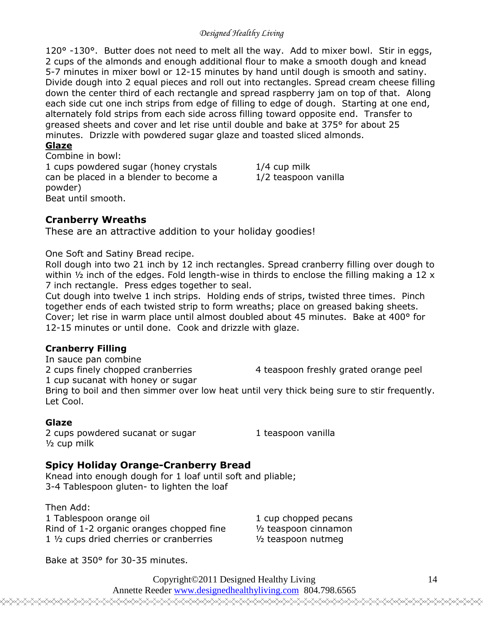120° -130°. Butter does not need to melt all the way. Add to mixer bowl. Stir in eggs, 2 cups of the almonds and enough additional flour to make a smooth dough and knead 5-7 minutes in mixer bowl or 12-15 minutes by hand until dough is smooth and satiny. Divide dough into 2 equal pieces and roll out into rectangles. Spread cream cheese filling down the center third of each rectangle and spread raspberry jam on top of that. Along each side cut one inch strips from edge of filling to edge of dough. Starting at one end, alternately fold strips from each side across filling toward opposite end. Transfer to greased sheets and cover and let rise until double and bake at 375° for about 25 minutes. Drizzle with powdered sugar glaze and toasted sliced almonds.

#### **Glaze**

Combine in bowl: 1 cups powdered sugar (honey crystals can be placed in a blender to become a powder) Beat until smooth.

1/4 cup milk 1/2 teaspoon vanilla

### **Cranberry Wreaths**

These are an attractive addition to your holiday goodies!

One Soft and Satiny Bread recipe.

Roll dough into two 21 inch by 12 inch rectangles. Spread cranberry filling over dough to within  $\frac{1}{2}$  inch of the edges. Fold length-wise in thirds to enclose the filling making a 12 x 7 inch rectangle. Press edges together to seal.

Cut dough into twelve 1 inch strips. Holding ends of strips, twisted three times. Pinch together ends of each twisted strip to form wreaths; place on greased baking sheets. Cover; let rise in warm place until almost doubled about 45 minutes. Bake at 400° for 12-15 minutes or until done. Cook and drizzle with glaze.

#### **Cranberry Filling**

In sauce pan combine 2 cups finely chopped cranberries 1 cup sucanat with honey or sugar 4 teaspoon freshly grated orange peel Bring to boil and then simmer over low heat until very thick being sure to stir frequently. Let Cool.

#### **Glaze**

2 cups powdered sucanat or sugar ½ cup milk

1 teaspoon vanilla

### **Spicy Holiday Orange-Cranberry Bread**

Knead into enough dough for 1 loaf until soft and pliable; 3-4 Tablespoon gluten- to lighten the loaf

Then Add: 1 Tablespoon orange oil Rind of 1-2 organic oranges chopped fine 1 ½ cups dried cherries or cranberries

1 cup chopped pecans ½ teaspoon cinnamon ½ teaspoon nutmeg

Bake at 350° for 30-35 minutes.

Copyright©2011 Designed Healthy Living Annette Reeder www.designedhealthyliving.com 804.798.6565

<del></del>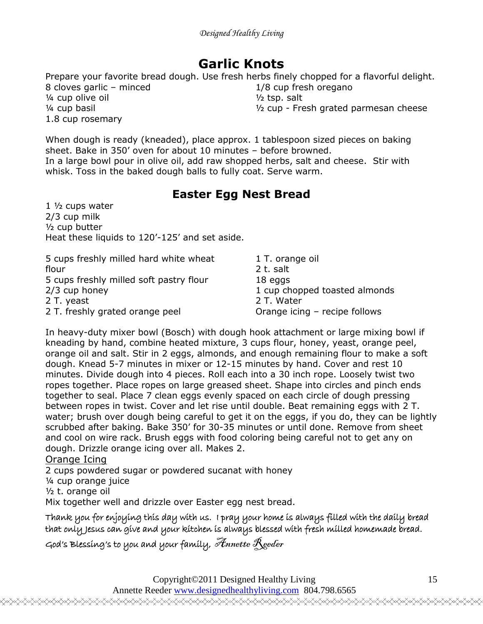## **Garlic Knots**

Prepare your favorite bread dough. Use fresh herbs finely chopped for a flavorful delight.

8 cloves garlic – minced ¼ cup olive oil ¼ cup basil 1.8 cup rosemary

1/8 cup fresh oregano ½ tsp. salt ½ cup - Fresh grated parmesan cheese

When dough is ready (kneaded), place approx. 1 tablespoon sized pieces on baking sheet. Bake in 350' oven for about 10 minutes – before browned. In a large bowl pour in olive oil, add raw shopped herbs, salt and cheese. Stir with whisk. Toss in the baked dough balls to fully coat. Serve warm.

## **Easter Egg Nest Bread**

1 ½ cups water 2/3 cup milk ½ cup butter Heat these liquids to 120'-125' and set aside.

| 5 cups freshly milled hard white wheat  | 1 T. orange oil               |
|-----------------------------------------|-------------------------------|
| flour                                   | 2 t. salt                     |
| 5 cups freshly milled soft pastry flour | 18 eggs                       |
| 2/3 cup honey                           | 1 cup chopped toasted almonds |
| 2 T. yeast                              | 2 T. Water                    |
| 2 T. freshly grated orange peel         | Orange icing - recipe follows |

In heavy-duty mixer bowl (Bosch) with dough hook attachment or large mixing bowl if kneading by hand, combine heated mixture, 3 cups flour, honey, yeast, orange peel, orange oil and salt. Stir in 2 eggs, almonds, and enough remaining flour to make a soft dough. Knead 5-7 minutes in mixer or 12-15 minutes by hand. Cover and rest 10 minutes. Divide dough into 4 pieces. Roll each into a 30 inch rope. Loosely twist two ropes together. Place ropes on large greased sheet. Shape into circles and pinch ends together to seal. Place 7 clean eggs evenly spaced on each circle of dough pressing between ropes in twist. Cover and let rise until double. Beat remaining eggs with 2 T. water; brush over dough being careful to get it on the eggs, if you do, they can be lightly scrubbed after baking. Bake 350' for 30-35 minutes or until done. Remove from sheet and cool on wire rack. Brush eggs with food coloring being careful not to get any on dough. Drizzle orange icing over all. Makes 2.

#### Orange Icing

2 cups powdered sugar or powdered sucanat with honey

¼ cup orange juice

½ t. orange oil

Mix together well and drizzle over Easter egg nest bread.

Thank you for enjoying this day with us. I pray your home is always filled with the daily bread that only Jesus can give and your kitchen is always blessed with fresh milled homemade bread.

God's Blessing's to you and your family, Annette  $\mathcal{R}_\text{geder}$